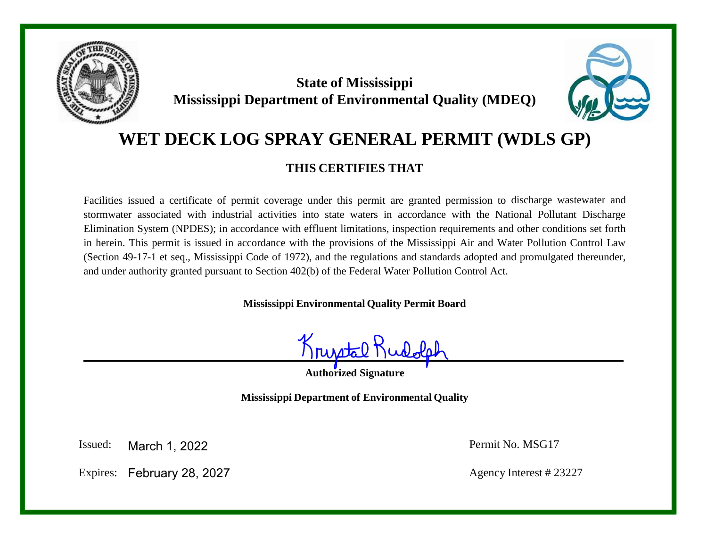

# **State of Mississippi Mississippi Department of Environmental Quality (MDEQ)**



# **WET DECK LOG SPRAY GENERAL PERMIT (WDLS GP)**

# **THIS CERTIFIES THAT**

Facilities issued a certificate of permit coverage under this permit are granted permission to discharge wastewater and stormwater associated with industrial activities into state waters in accordance with the National Pollutant Discharge Elimination System (NPDES); in accordance with effluent limitations, inspection requirements and other conditions set forth in herein. This permit is issued in accordance with the provisions of the Mississippi Air and Water Pollution Control Law (Section 49-17-1 et seq., Mississippi Code of 1972), and the regulations and standards adopted and promulgated thereunder, and under authority granted pursuant to Section 402(b) of the Federal Water Pollution Control Act.

**Mississippi Environmental Quality Permit Board**

Krustalt

**Authorized Signature**

**Mississippi Department of Environmental Quality**

Issued: Permit No. MSG17 March 1, 2022

Expires: February 28, 2027 Agency Interest # 23227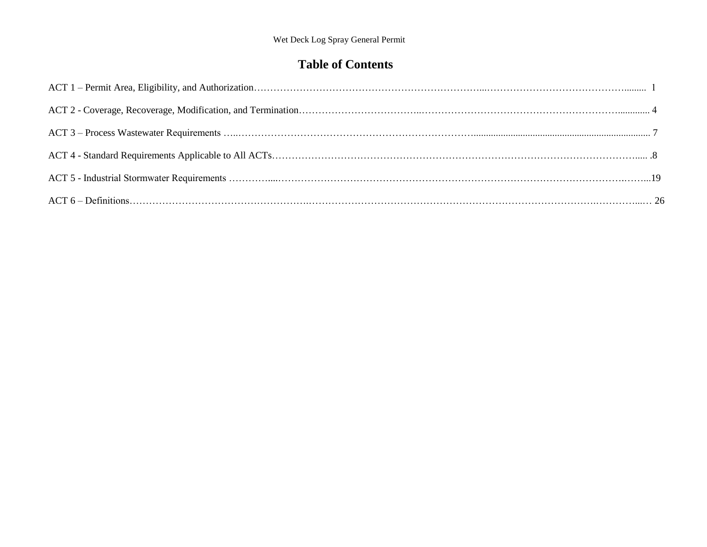# **Table of Contents**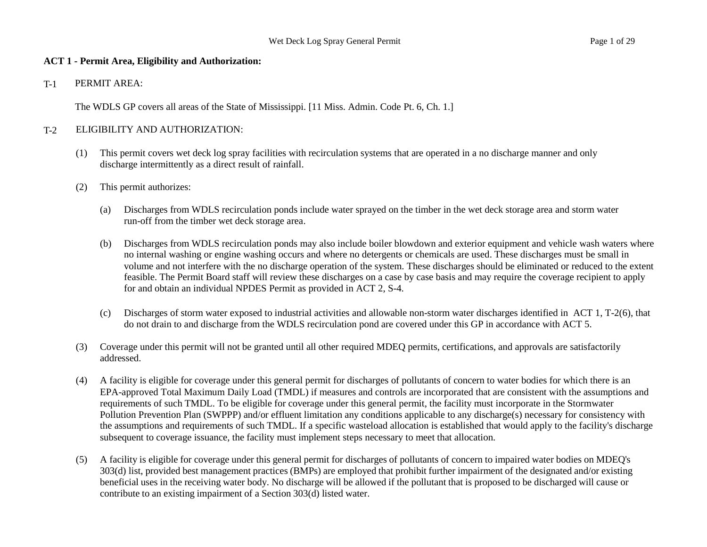#### **ACT 1 - Permit Area, Eligibility and Authorization:**

T-1 PERMIT AREA:

The WDLS GP covers all areas of the State of Mississippi. [11 Miss. Admin. Code Pt. 6, Ch. 1.]

#### T-2 ELIGIBILITY AND AUTHORIZATION:

- (1) This permit covers wet deck log spray facilities with recirculation systems that are operated in a no discharge manner and only discharge intermittently as a direct result of rainfall.
- (2) This permit authorizes:
	- (a) Discharges from WDLS recirculation ponds include water sprayed on the timber in the wet deck storage area and storm water run-off from the timber wet deck storage area.
	- (b) Discharges from WDLS recirculation ponds may also include boiler blowdown and exterior equipment and vehicle wash waters where no internal washing or engine washing occurs and where no detergents or chemicals are used. These discharges must be small in volume and not interfere with the no discharge operation of the system. These discharges should be eliminated or reduced to the extent feasible. The Permit Board staff will review these discharges on a case by case basis and may require the coverage recipient to apply for and obtain an individual NPDES Permit as provided in ACT 2, S-4.
	- (c) Discharges of storm water exposed to industrial activities and allowable non-storm water discharges identified in ACT 1, T-2(6), that do not drain to and discharge from the WDLS recirculation pond are covered under this GP in accordance with ACT 5.
- (3) Coverage under this permit will not be granted until all other required MDEQ permits, certifications, and approvals are satisfactorily addressed.
- (4) A facility is eligible for coverage under this general permit for discharges of pollutants of concern to water bodies for which there is an EPA-approved Total Maximum Daily Load (TMDL) if measures and controls are incorporated that are consistent with the assumptions and requirements of such TMDL. To be eligible for coverage under this general permit, the facility must incorporate in the Stormwater Pollution Prevention Plan (SWPPP) and/or effluent limitation any conditions applicable to any discharge(s) necessary for consistency with the assumptions and requirements of such TMDL. If a specific wasteload allocation is established that would apply to the facility's discharge subsequent to coverage issuance, the facility must implement steps necessary to meet that allocation.
- (5) A facility is eligible for coverage under this general permit for discharges of pollutants of concern to impaired water bodies on MDEQ's 303(d) list, provided best management practices (BMPs) are employed that prohibit further impairment of the designated and/or existing beneficial uses in the receiving water body. No discharge will be allowed if the pollutant that is proposed to be discharged will cause or contribute to an existing impairment of a Section 303(d) listed water.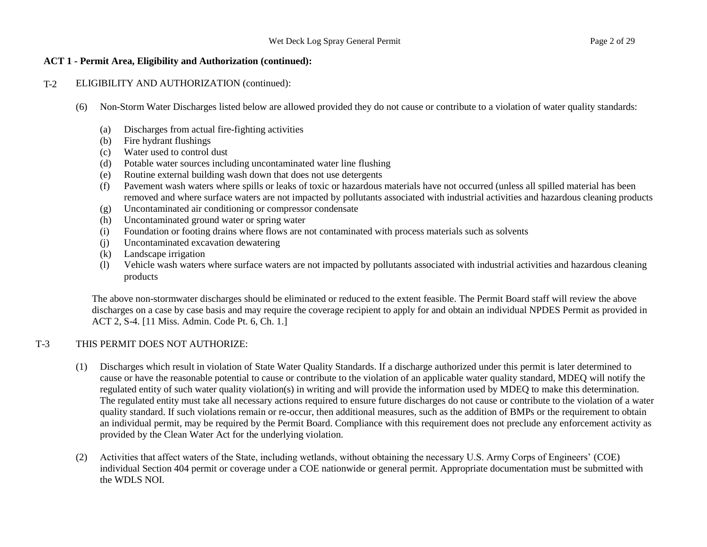#### **ACT 1 - Permit Area, Eligibility and Authorization (continued):**

#### T-2 ELIGIBILITY AND AUTHORIZATION (continued):

- (6) Non-Storm Water Discharges listed below are allowed provided they do not cause or contribute to a violation of water quality standards:
	- (a) Discharges from actual fire-fighting activities
	- (b) Fire hydrant flushings
	- (c) Water used to control dust
	- (d) Potable water sources including uncontaminated water line flushing
	- (e) Routine external building wash down that does not use detergents
	- (f) Pavement wash waters where spills or leaks of toxic or hazardous materials have not occurred (unless all spilled material has been removed and where surface waters are not impacted by pollutants associated with industrial activities and hazardous cleaning products
	- (g) Uncontaminated air conditioning or compressor condensate
	- (h) Uncontaminated ground water or spring water
	- (i) Foundation or footing drains where flows are not contaminated with process materials such as solvents
	- (j) Uncontaminated excavation dewatering
	- (k) Landscape irrigation
	- (l) Vehicle wash waters where surface waters are not impacted by pollutants associated with industrial activities and hazardous cleaning products

The above non-stormwater discharges should be eliminated or reduced to the extent feasible. The Permit Board staff will review the above discharges on a case by case basis and may require the coverage recipient to apply for and obtain an individual NPDES Permit as provided in ACT 2, S-4. [11 Miss. Admin. Code Pt. 6, Ch. 1.]

# T-3 THIS PERMIT DOES NOT AUTHORIZE:

- (1) Discharges which result in violation of State Water Quality Standards. If a discharge authorized under this permit is later determined to cause or have the reasonable potential to cause or contribute to the violation of an applicable water quality standard, MDEQ will notify the regulated entity of such water quality violation(s) in writing and will provide the information used by MDEQ to make this determination. The regulated entity must take all necessary actions required to ensure future discharges do not cause or contribute to the violation of a water quality standard. If such violations remain or re-occur, then additional measures, such as the addition of BMPs or the requirement to obtain an individual permit, may be required by the Permit Board. Compliance with this requirement does not preclude any enforcement activity as provided by the Clean Water Act for the underlying violation.
- (2) Activities that affect waters of the State, including wetlands, without obtaining the necessary U.S. Army Corps of Engineers' (COE) individual Section 404 permit or coverage under a COE nationwide or general permit. Appropriate documentation must be submitted with the WDLS NOI.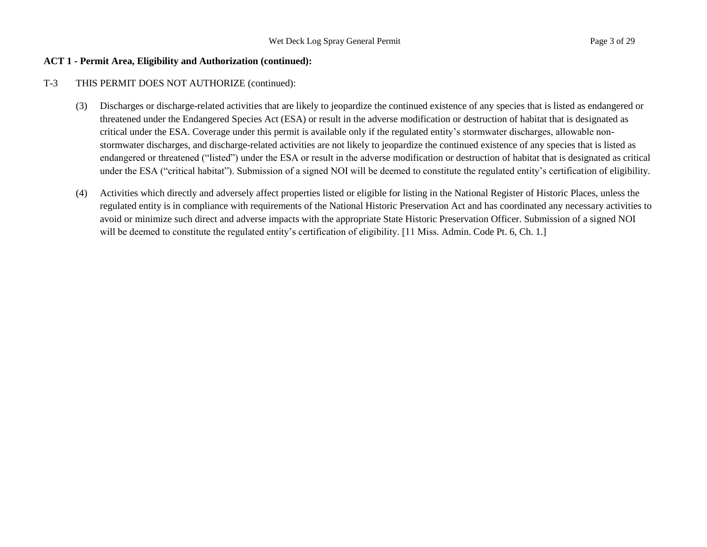#### **ACT 1 - Permit Area, Eligibility and Authorization (continued):**

#### T-3 THIS PERMIT DOES NOT AUTHORIZE (continued):

- (3) Discharges or discharge-related activities that are likely to jeopardize the continued existence of any species that is listed as endangered or threatened under the Endangered Species Act (ESA) or result in the adverse modification or destruction of habitat that is designated as critical under the ESA. Coverage under this permit is available only if the regulated entity's stormwater discharges, allowable nonstormwater discharges, and discharge-related activities are not likely to jeopardize the continued existence of any species that is listed as endangered or threatened ("listed") under the ESA or result in the adverse modification or destruction of habitat that is designated as critical under the ESA ("critical habitat"). Submission of a signed NOI will be deemed to constitute the regulated entity's certification of eligibility.
- (4) Activities which directly and adversely affect properties listed or eligible for listing in the National Register of Historic Places, unless the regulated entity is in compliance with requirements of the National Historic Preservation Act and has coordinated any necessary activities to avoid or minimize such direct and adverse impacts with the appropriate State Historic Preservation Officer. Submission of a signed NOI will be deemed to constitute the regulated entity's certification of eligibility. [11 Miss. Admin. Code Pt. 6, Ch. 1.]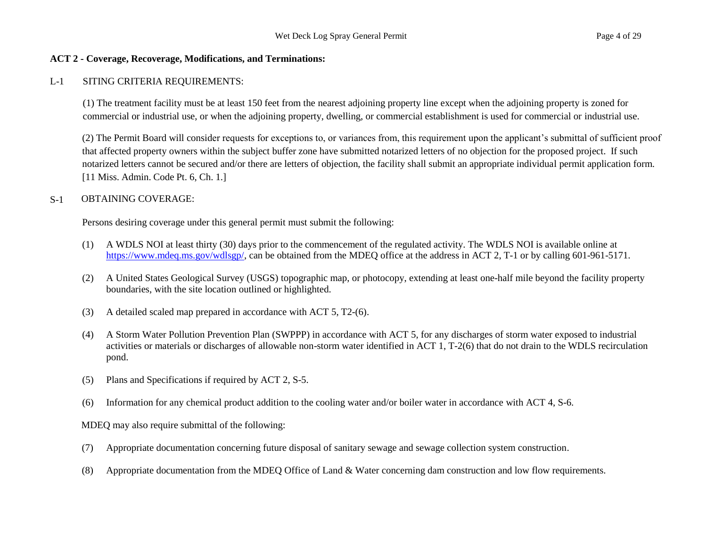#### **ACT 2 - Coverage, Recoverage, Modifications, and Terminations:**

#### L-1 SITING CRITERIA REQUIREMENTS:

(1) The treatment facility must be at least 150 feet from the nearest adjoining property line except when the adjoining property is zoned for commercial or industrial use, or when the adjoining property, dwelling, or commercial establishment is used for commercial or industrial use.

(2) The Permit Board will consider requests for exceptions to, or variances from, this requirement upon the applicant's submittal of sufficient proof that affected property owners within the subject buffer zone have submitted notarized letters of no objection for the proposed project. If such notarized letters cannot be secured and/or there are letters of objection, the facility shall submit an appropriate individual permit application form. [11 Miss. Admin. Code Pt. 6, Ch. 1.]

#### S-1 OBTAINING COVERAGE:

Persons desiring coverage under this general permit must submit the following:

- (1) A WDLS NOI at least thirty (30) days prior to the commencement of the regulated activity. The WDLS NOI is available online at [https://www.mdeq.ms.gov/wdlsgp/,](https://www.mdeq.ms.gov/wdlsgp/) can be obtained from the MDEQ office at the address in ACT 2, T-1 or by calling 601-961-5171.
- (2) A United States Geological Survey (USGS) topographic map, or photocopy, extending at least one-half mile beyond the facility property boundaries, with the site location outlined or highlighted.
- (3) A detailed scaled map prepared in accordance with ACT 5, T2-(6).
- (4) A Storm Water Pollution Prevention Plan (SWPPP) in accordance with ACT 5, for any discharges of storm water exposed to industrial activities or materials or discharges of allowable non-storm water identified in ACT 1, T-2(6) that do not drain to the WDLS recirculation pond.
- (5) Plans and Specifications if required by ACT 2, S-5.
- (6) Information for any chemical product addition to the cooling water and/or boiler water in accordance with ACT 4, S-6.

MDEQ may also require submittal of the following:

- (7) Appropriate documentation concerning future disposal of sanitary sewage and sewage collection system construction.
- (8) Appropriate documentation from the MDEQ Office of Land & Water concerning dam construction and low flow requirements.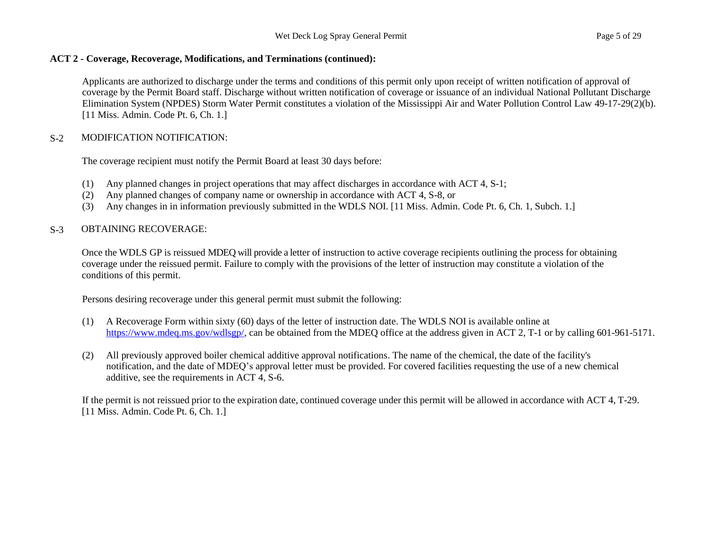Applicants are authorized to discharge under the terms and conditions of this permit only upon receipt of written notification of approval of coverage by the Permit Board staff. Discharge without written notification of coverage or issuance of an individual National Pollutant Discharge Elimination System (NPDES) Storm Water Permit constitutes a violation of the Mississippi Air and Water Pollution Control Law 49-17-29(2)(b). [11 Miss. Admin. Code Pt. 6, Ch. 1.]

# S-2 MODIFICATION NOTIFICATION:

The coverage recipient must notify the Permit Board at least 30 days before:

- (1) Any planned changes in project operations that may affect discharges in accordance with ACT 4, S-1;
- (2) Any planned changes of company name or ownership in accordance with ACT 4, S-8, or
- (3) Any changes in in information previously submitted in the WDLS NOI. [11 Miss. Admin. Code Pt. 6, Ch. 1, Subch. 1.]

# S-3 OBTAINING RECOVERAGE:

Once the WDLS GP is reissued MDEQ will provide a letter of instruction to active coverage recipients outlining the process for obtaining coverage under the reissued permit. Failure to comply with the provisions of the letter of instruction may constitute a violation of the conditions of this permit.

Persons desiring recoverage under this general permit must submit the following:

- (1) A Recoverage Form within sixty (60) days of the letter of instruction date. The WDLS NOI is available online at [https://www.mdeq.ms.gov/wdlsgp/,](https://www.mdeq.ms.gov/wdlsgp/) can be obtained from the MDEO office at the address given in ACT 2, T-1 or by calling 601-961-5171.
- (2) All previously approved boiler chemical additive approval notifications. The name of the chemical, the date of the facility's notification, and the date of MDEQ's approval letter must be provided. For covered facilities requesting the use of a new chemical additive, see the requirements in ACT 4, S-6.

If the permit is not reissued prior to the expiration date, continued coverage under this permit will be allowed in accordance with ACT 4, T-29. [11 Miss. Admin. Code Pt. 6, Ch. 1.]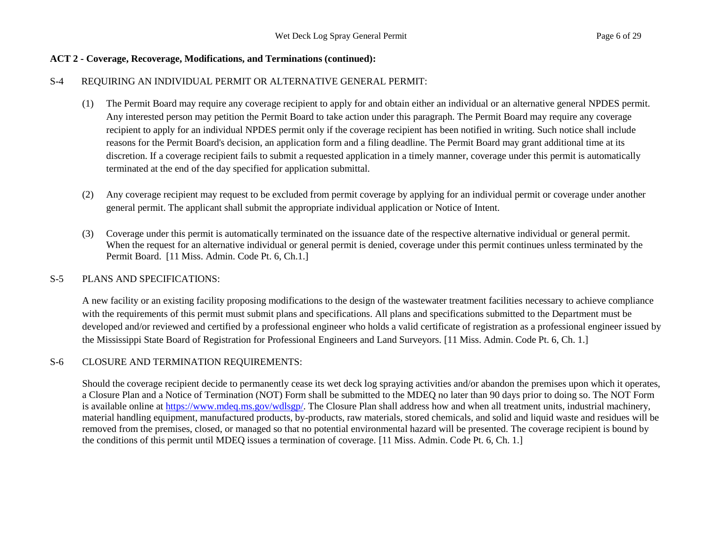# **ACT 2 - Coverage, Recoverage, Modifications, and Terminations (continued):**

# S-4 REQUIRING AN INDIVIDUAL PERMIT OR ALTERNATIVE GENERAL PERMIT:

- (1) The Permit Board may require any coverage recipient to apply for and obtain either an individual or an alternative general NPDES permit. Any interested person may petition the Permit Board to take action under this paragraph. The Permit Board may require any coverage recipient to apply for an individual NPDES permit only if the coverage recipient has been notified in writing. Such notice shall include reasons for the Permit Board's decision, an application form and a filing deadline. The Permit Board may grant additional time at its discretion. If a coverage recipient fails to submit a requested application in a timely manner, coverage under this permit is automatically terminated at the end of the day specified for application submittal.
- (2) Any coverage recipient may request to be excluded from permit coverage by applying for an individual permit or coverage under another general permit. The applicant shall submit the appropriate individual application or Notice of Intent.
- (3) Coverage under this permit is automatically terminated on the issuance date of the respective alternative individual or general permit. When the request for an alternative individual or general permit is denied, coverage under this permit continues unless terminated by the Permit Board. [11 Miss. Admin. Code Pt. 6, Ch.1.]

## S-5 PLANS AND SPECIFICATIONS:

A new facility or an existing facility proposing modifications to the design of the wastewater treatment facilities necessary to achieve compliance with the requirements of this permit must submit plans and specifications. All plans and specifications submitted to the Department must be developed and/or reviewed and certified by a professional engineer who holds a valid certificate of registration as a professional engineer issued by the Mississippi State Board of Registration for Professional Engineers and Land Surveyors. [11 Miss. Admin. Code Pt. 6, Ch. 1.]

#### S-6 CLOSURE AND TERMINATION REQUIREMENTS:

Should the coverage recipient decide to permanently cease its wet deck log spraying activities and/or abandon the premises upon which it operates, a Closure Plan and a Notice of Termination (NOT) Form shall be submitted to the MDEQ no later than 90 days prior to doing so. The NOT Form is available online at https://www.mdeq.ms.gov/wdlsgp/. The Closure Plan shall address how and when all treatment units, industrial machinery, material handling equipment, manufactured products, by-products, raw materials, stored chemicals, and solid and liquid waste and residues will be removed from the premises, closed, or managed so that no potential environmental hazard will be presented. The coverage recipient is bound by the conditions of this permit until MDEQ issues a termination of coverage. [11 Miss. Admin. Code Pt. 6, Ch. 1.]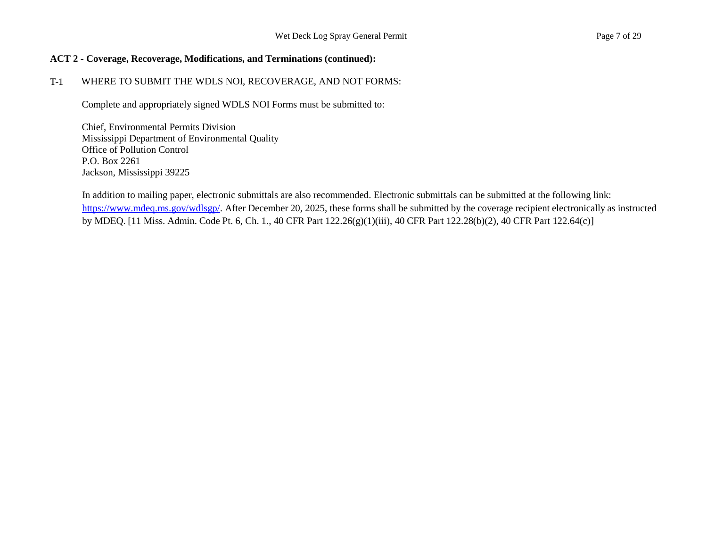#### **ACT 2 - Coverage, Recoverage, Modifications, and Terminations (continued):**

## T-1 WHERE TO SUBMIT THE WDLS NOI, RECOVERAGE, AND NOT FORMS:

Complete and appropriately signed WDLS NOI Forms must be submitted to:

Chief, Environmental Permits Division Mississippi Department of Environmental Quality Office of Pollution Control P.O. Box 2261 Jackson, Mississippi 39225

In addition to mailing paper, electronic submittals are also recommended. Electronic submittals can be submitted at the following link: https://www.mdeq.ms.gov/wdlsgp/. After December 20, 2025, these forms shall be submitted by the coverage recipient electronically as instructed by MDEQ. [11 Miss. Admin. Code Pt. 6, Ch. 1., 40 CFR Part 122.26(g)(1)(iii), 40 CFR Part 122.28(b)(2), 40 CFR Part 122.64(c)]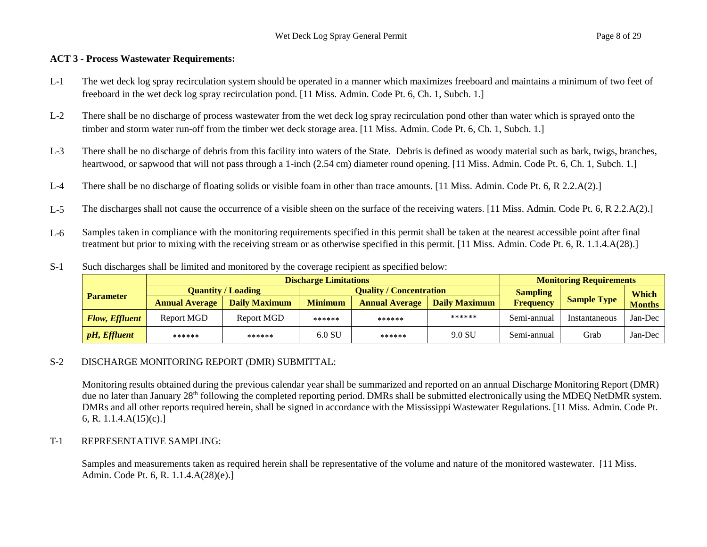#### **ACT 3 - Process Wastewater Requirements:**

- L-1 The wet deck log spray recirculation system should be operated in a manner which maximizes freeboard and maintains a minimum of two feet of freeboard in the wet deck log spray recirculation pond. [11 Miss. Admin. Code Pt. 6, Ch. 1, Subch. 1.]
- L-2 There shall be no discharge of process wastewater from the wet deck log spray recirculation pond other than water which is sprayed onto the timber and storm water run-off from the timber wet deck storage area. [11 Miss. Admin. Code Pt. 6, Ch. 1, Subch. 1.]
- L-3 There shall be no discharge of debris from this facility into waters of the State. Debris is defined as woody material such as bark, twigs, branches, heartwood, or sapwood that will not pass through a 1-inch (2.54 cm) diameter round opening. [11 Miss. Admin. Code Pt. 6, Ch. 1, Subch. 1.]
- L-4 There shall be no discharge of floating solids or visible foam in other than trace amounts. [11 Miss. Admin. Code Pt. 6, R 2.2.A(2).]
- L-5 The discharges shall not cause the occurrence of a visible sheen on the surface of the receiving waters. [11 Miss. Admin. Code Pt. 6, R 2.2.A(2).]
- L-6 Samples taken in compliance with the monitoring requirements specified in this permit shall be taken at the nearest accessible point after final treatment but prior to mixing with the receiving stream or as otherwise specified in this permit. [11 Miss. Admin. Code Pt. 6, R. 1.1.4.A(28).]
- S-1 Such discharges shall be limited and monitored by the coverage recipient as specified below:

|                       | <b>Discharge Limitations</b> |                      |                                |                       |                      | <b>Monitoring Requirements</b> |                    |               |
|-----------------------|------------------------------|----------------------|--------------------------------|-----------------------|----------------------|--------------------------------|--------------------|---------------|
| <b>Parameter</b>      | <b>Quantity / Loading</b>    |                      | <b>Ouality / Concentration</b> |                       |                      | <b>Sampling</b>                |                    | Which         |
|                       | <b>Annual Average</b>        | <b>Daily Maximum</b> | <b>Minimum</b>                 | <b>Annual Average</b> | <b>Daily Maximum</b> | Frequency                      | <b>Sample Type</b> | <b>Months</b> |
| <b>Flow, Effluent</b> | Report MGD                   | Report MGD           | ******                         | ******                | ******               | Semi-annual                    | Instantaneous      | Jan-Dec       |
| pH, Eff <i>luent</i>  | ******                       | ******               | $6.0$ SU                       | ******                | 9.0 SU               | Semi-annual                    | Grab               | Jan-Dec       |

# S-2 DISCHARGE MONITORING REPORT (DMR) SUBMITTAL:

Monitoring results obtained during the previous calendar year shall be summarized and reported on an annual Discharge Monitoring Report (DMR) due no later than January 28<sup>th</sup> following the completed reporting period. DMRs shall be submitted electronically using the MDEQ NetDMR system. DMRs and all other reports required herein, shall be signed in accordance with the Mississippi Wastewater Regulations. [11 Miss. Admin. Code Pt. 6, R.  $1.1.4.A(15)(c).$ 

# T-1 REPRESENTATIVE SAMPLING:

Samples and measurements taken as required herein shall be representative of the volume and nature of the monitored wastewater. [11 Miss. Admin. Code Pt. 6, R. 1.1.4.A(28)(e).]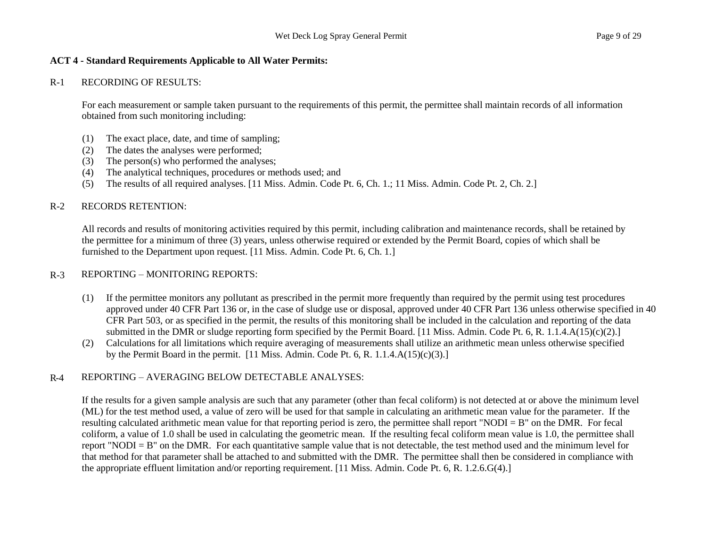#### R-1 RECORDING OF RESULTS:

For each measurement or sample taken pursuant to the requirements of this permit, the permittee shall maintain records of all information obtained from such monitoring including:

- (1) The exact place, date, and time of sampling;
- (2) The dates the analyses were performed;
- (3) The person(s) who performed the analyses;
- (4) The analytical techniques, procedures or methods used; and
- (5) The results of all required analyses. [11 Miss. Admin. Code Pt. 6, Ch. 1.; 11 Miss. Admin. Code Pt. 2, Ch. 2.]

# R-2 RECORDS RETENTION:

All records and results of monitoring activities required by this permit, including calibration and maintenance records, shall be retained by the permittee for a minimum of three (3) years, unless otherwise required or extended by the Permit Board, copies of which shall be furnished to the Department upon request. [11 Miss. Admin. Code Pt. 6, Ch. 1.]

# R-3 REPORTING – MONITORING REPORTS:

- (1) If the permittee monitors any pollutant as prescribed in the permit more frequently than required by the permit using test procedures approved under 40 CFR Part 136 or, in the case of sludge use or disposal, approved under 40 CFR Part 136 unless otherwise specified in 40 CFR Part 503, or as specified in the permit, the results of this monitoring shall be included in the calculation and reporting of the data submitted in the DMR or sludge reporting form specified by the Permit Board. [11 Miss. Admin. Code Pt. 6, R. 1.1.4.A(15)(c)(2).]
- (2) Calculations for all limitations which require averaging of measurements shall utilize an arithmetic mean unless otherwise specified by the Permit Board in the permit.  $[11$  Miss. Admin. Code Pt. 6, R. 1.1.4.A(15)(c)(3).]

# R-4 REPORTING – AVERAGING BELOW DETECTABLE ANALYSES:

If the results for a given sample analysis are such that any parameter (other than fecal coliform) is not detected at or above the minimum level (ML) for the test method used, a value of zero will be used for that sample in calculating an arithmetic mean value for the parameter. If the resulting calculated arithmetic mean value for that reporting period is zero, the permittee shall report "NODI = B" on the DMR. For fecal coliform, a value of 1.0 shall be used in calculating the geometric mean. If the resulting fecal coliform mean value is 1.0, the permittee shall report "NODI = B" on the DMR. For each quantitative sample value that is not detectable, the test method used and the minimum level for that method for that parameter shall be attached to and submitted with the DMR. The permittee shall then be considered in compliance with the appropriate effluent limitation and/or reporting requirement. [11 Miss. Admin. Code Pt. 6, R. 1.2.6.G(4).]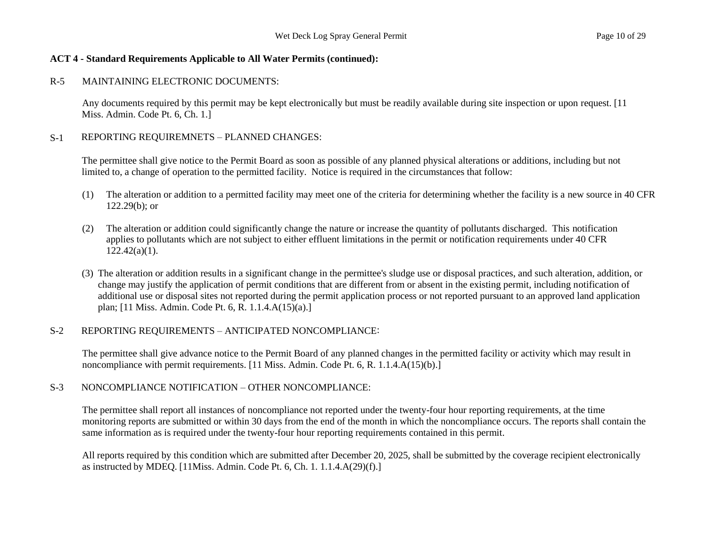# R-5 MAINTAINING ELECTRONIC DOCUMENTS:

Any documents required by this permit may be kept electronically but must be readily available during site inspection or upon request. [11 Miss. Admin. Code Pt. 6, Ch. 1.]

# S-1 REPORTING REQUIREMNETS – PLANNED CHANGES:

The permittee shall give notice to the Permit Board as soon as possible of any planned physical alterations or additions, including but not limited to, a change of operation to the permitted facility. Notice is required in the circumstances that follow:

- (1) The alteration or addition to a permitted facility may meet one of the criteria for determining whether the facility is a new source in 40 CFR 122.29(b); or
- (2) The alteration or addition could significantly change the nature or increase the quantity of pollutants discharged. This notification applies to pollutants which are not subject to either effluent limitations in the permit or notification requirements under 40 CFR  $122.42(a)(1)$ .
- (3) The alteration or addition results in a significant change in the permittee's sludge use or disposal practices, and such alteration, addition, or change may justify the application of permit conditions that are different from or absent in the existing permit, including notification of additional use or disposal sites not reported during the permit application process or not reported pursuant to an approved land application plan; [11 Miss. Admin. Code Pt. 6, R. 1.1.4.A(15)(a).]

# S-2 REPORTING REQUIREMENTS – ANTICIPATED NONCOMPLIANCE:

The permittee shall give advance notice to the Permit Board of any planned changes in the permitted facility or activity which may result in noncompliance with permit requirements. [11 Miss. Admin. Code Pt. 6, R. 1.1.4.A(15)(b).]

# S-3 NONCOMPLIANCE NOTIFICATION – OTHER NONCOMPLIANCE:

The permittee shall report all instances of noncompliance not reported under the twenty-four hour reporting requirements, at the time monitoring reports are submitted or within 30 days from the end of the month in which the noncompliance occurs. The reports shall contain the same information as is required under the twenty-four hour reporting requirements contained in this permit.

All reports required by this condition which are submitted after December 20, 2025, shall be submitted by the coverage recipient electronically as instructed by MDEQ. [11Miss. Admin. Code Pt. 6, Ch. 1. 1.1.4.A(29)(f).]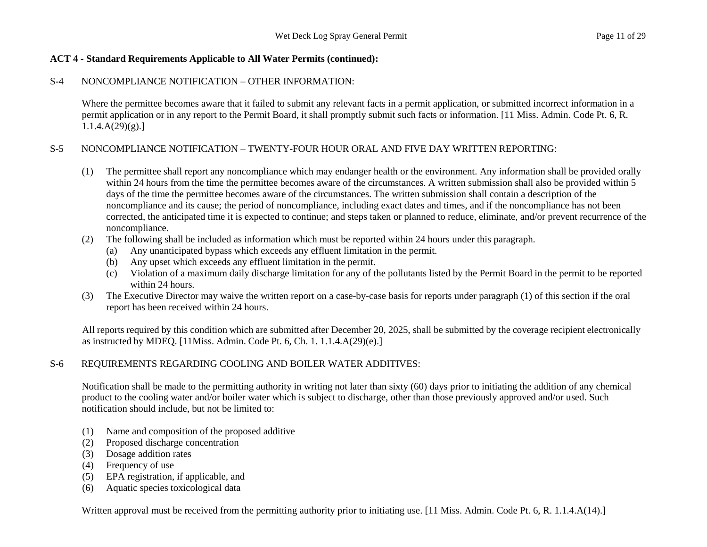## S-4 NONCOMPLIANCE NOTIFICATION – OTHER INFORMATION:

Where the permittee becomes aware that it failed to submit any relevant facts in a permit application, or submitted incorrect information in a permit application or in any report to the Permit Board, it shall promptly submit such facts or information. [11 Miss. Admin. Code Pt. 6, R.  $1.1.4.A(29)(g).$ 

# S-5 NONCOMPLIANCE NOTIFICATION – TWENTY-FOUR HOUR ORAL AND FIVE DAY WRITTEN REPORTING:

- (1) The permittee shall report any noncompliance which may endanger health or the environment. Any information shall be provided orally within 24 hours from the time the permittee becomes aware of the circumstances. A written submission shall also be provided within 5 days of the time the permittee becomes aware of the circumstances. The written submission shall contain a description of the noncompliance and its cause; the period of noncompliance, including exact dates and times, and if the noncompliance has not been corrected, the anticipated time it is expected to continue; and steps taken or planned to reduce, eliminate, and/or prevent recurrence of the noncompliance.
- (2) The following shall be included as information which must be reported within 24 hours under this paragraph.
	- (a) Any unanticipated bypass which exceeds any effluent limitation in the permit.
	- (b) Any upset which exceeds any effluent limitation in the permit.
	- (c) Violation of a maximum daily discharge limitation for any of the pollutants listed by the Permit Board in the permit to be reported within 24 hours.
- (3) The Executive Director may waive the written report on a case-by-case basis for reports under paragraph (1) of this section if the oral report has been received within 24 hours.

All reports required by this condition which are submitted after December 20, 2025, shall be submitted by the coverage recipient electronically as instructed by MDEQ. [11Miss. Admin. Code Pt. 6, Ch. 1. 1.1.4.A(29)(e).]

# S-6 REQUIREMENTS REGARDING COOLING AND BOILER WATER ADDITIVES:

Notification shall be made to the permitting authority in writing not later than sixty (60) days prior to initiating the addition of any chemical product to the cooling water and/or boiler water which is subject to discharge, other than those previously approved and/or used. Such notification should include, but not be limited to:

- (1) Name and composition of the proposed additive
- (2) Proposed discharge concentration
- (3) Dosage addition rates
- (4) Frequency of use
- (5) EPA registration, if applicable, and
- (6) Aquatic species toxicological data

Written approval must be received from the permitting authority prior to initiating use. [11 Miss. Admin. Code Pt. 6, R. 1.1.4.A(14).]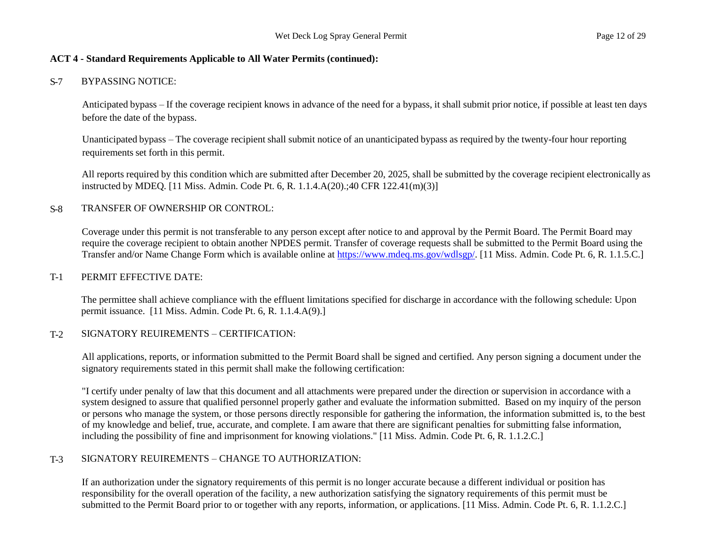#### S-7 BYPASSING NOTICE:

Anticipated bypass – If the coverage recipient knows in advance of the need for a bypass, it shall submit prior notice, if possible at least ten days before the date of the bypass.

Unanticipated bypass – The coverage recipient shall submit notice of an unanticipated bypass as required by the twenty-four hour reporting requirements set forth in this permit.

All reports required by this condition which are submitted after December 20, 2025, shall be submitted by the coverage recipient electronically as instructed by MDEQ. [11 Miss. Admin. Code Pt. 6, R. 1.1.4.A(20).;40 CFR 122.41(m)(3)]

#### S-8 TRANSFER OF OWNERSHIP OR CONTROL:

Coverage under this permit is not transferable to any person except after notice to and approval by the Permit Board. The Permit Board may require the coverage recipient to obtain another NPDES permit. Transfer of coverage requests shall be submitted to the Permit Board using the Transfer and/or Name Change Form which is available online at https://www.mdeq.ms.gov/wdlsgp/. [11 Miss. Admin. Code Pt. 6, R. 1.1.5.C.]

#### T-1 PERMIT EFFECTIVE DATE:

The permittee shall achieve compliance with the effluent limitations specified for discharge in accordance with the following schedule: Upon permit issuance. [11 Miss. Admin. Code Pt. 6, R. 1.1.4.A(9).]

#### T-2 SIGNATORY REUIREMENTS – CERTIFICATION:

All applications, reports, or information submitted to the Permit Board shall be signed and certified. Any person signing a document under the signatory requirements stated in this permit shall make the following certification:

"I certify under penalty of law that this document and all attachments were prepared under the direction or supervision in accordance with a system designed to assure that qualified personnel properly gather and evaluate the information submitted. Based on my inquiry of the person or persons who manage the system, or those persons directly responsible for gathering the information, the information submitted is, to the best of my knowledge and belief, true, accurate, and complete. I am aware that there are significant penalties for submitting false information, including the possibility of fine and imprisonment for knowing violations." [11 Miss. Admin. Code Pt. 6, R. 1.1.2.C.]

#### T-3 SIGNATORY REUIREMENTS – CHANGE TO AUTHORIZATION:

If an authorization under the signatory requirements of this permit is no longer accurate because a different individual or position has responsibility for the overall operation of the facility, a new authorization satisfying the signatory requirements of this permit must be submitted to the Permit Board prior to or together with any reports, information, or applications. [11 Miss. Admin. Code Pt. 6, R. 1.1.2.C.]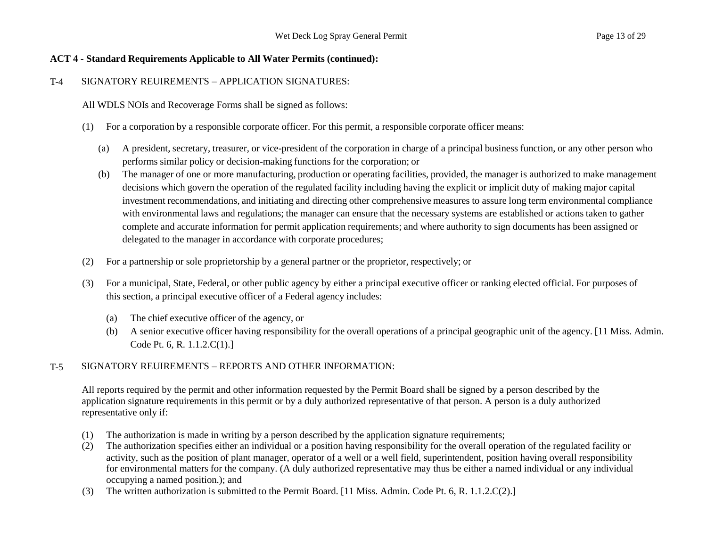# T-4 SIGNATORY REUIREMENTS – APPLICATION SIGNATURES:

All WDLS NOIs and Recoverage Forms shall be signed as follows:

- (1) For a corporation by a responsible corporate officer. For this permit, a responsible corporate officer means:
	- (a) A president, secretary, treasurer, or vice-president of the corporation in charge of a principal business function, or any other person who performs similar policy or decision-making functions for the corporation; or
	- (b) The manager of one or more manufacturing, production or operating facilities, provided, the manager is authorized to make management decisions which govern the operation of the regulated facility including having the explicit or implicit duty of making major capital investment recommendations, and initiating and directing other comprehensive measures to assure long term environmental compliance with environmental laws and regulations; the manager can ensure that the necessary systems are established or actions taken to gather complete and accurate information for permit application requirements; and where authority to sign documents has been assigned or delegated to the manager in accordance with corporate procedures;
- (2) For a partnership or sole proprietorship by a general partner or the proprietor, respectively; or
- (3) For a municipal, State, Federal, or other public agency by either a principal executive officer or ranking elected official. For purposes of this section, a principal executive officer of a Federal agency includes:
	- (a) The chief executive officer of the agency, or
	- (b) A senior executive officer having responsibility for the overall operations of a principal geographic unit of the agency. [11 Miss. Admin. Code Pt. 6, R. 1.1.2.C(1).]

# T-5 SIGNATORY REUIREMENTS – REPORTS AND OTHER INFORMATION:

All reports required by the permit and other information requested by the Permit Board shall be signed by a person described by the application signature requirements in this permit or by a duly authorized representative of that person. A person is a duly authorized representative only if:

- (1) The authorization is made in writing by a person described by the application signature requirements;
- (2) The authorization specifies either an individual or a position having responsibility for the overall operation of the regulated facility or activity, such as the position of plant manager, operator of a well or a well field, superintendent, position having overall responsibility for environmental matters for the company. (A duly authorized representative may thus be either a named individual or any individual occupying a named position.); and
- (3) The written authorization is submitted to the Permit Board. [11 Miss. Admin. Code Pt. 6, R. 1.1.2.C(2).]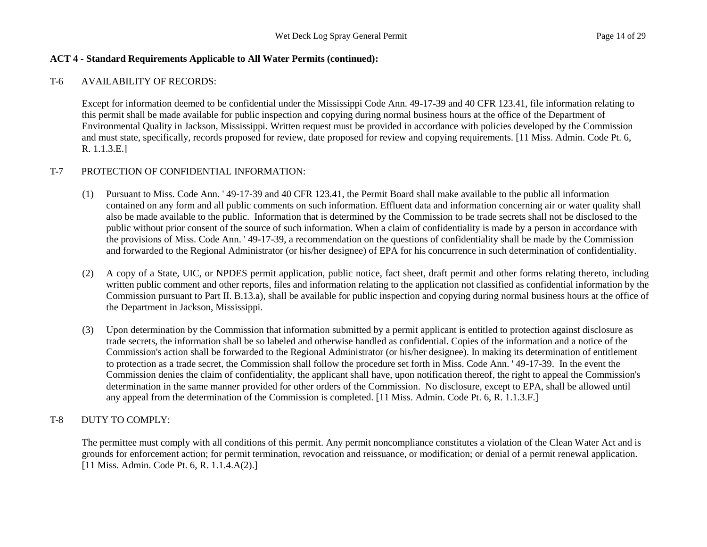#### T-6 AVAILABILITY OF RECORDS:

Except for information deemed to be confidential under the Mississippi Code Ann. 49-17-39 and 40 CFR 123.41, file information relating to this permit shall be made available for public inspection and copying during normal business hours at the office of the Department of Environmental Quality in Jackson, Mississippi. Written request must be provided in accordance with policies developed by the Commission and must state, specifically, records proposed for review, date proposed for review and copying requirements. [11 Miss. Admin. Code Pt. 6, R. 1.1.3.E.]

#### T-7 PROTECTION OF CONFIDENTIAL INFORMATION:

- (1) Pursuant to Miss. Code Ann. ' 49-17-39 and 40 CFR 123.41, the Permit Board shall make available to the public all information contained on any form and all public comments on such information. Effluent data and information concerning air or water quality shall also be made available to the public. Information that is determined by the Commission to be trade secrets shall not be disclosed to the public without prior consent of the source of such information. When a claim of confidentiality is made by a person in accordance with the provisions of Miss. Code Ann. ' 49-17-39, a recommendation on the questions of confidentiality shall be made by the Commission and forwarded to the Regional Administrator (or his/her designee) of EPA for his concurrence in such determination of confidentiality.
- (2) A copy of a State, UIC, or NPDES permit application, public notice, fact sheet, draft permit and other forms relating thereto, including written public comment and other reports, files and information relating to the application not classified as confidential information by the Commission pursuant to Part II. B.13.a), shall be available for public inspection and copying during normal business hours at the office of the Department in Jackson, Mississippi.
- (3) Upon determination by the Commission that information submitted by a permit applicant is entitled to protection against disclosure as trade secrets, the information shall be so labeled and otherwise handled as confidential. Copies of the information and a notice of the Commission's action shall be forwarded to the Regional Administrator (or his/her designee). In making its determination of entitlement to protection as a trade secret, the Commission shall follow the procedure set forth in Miss. Code Ann. ' 49-17-39. In the event the Commission denies the claim of confidentiality, the applicant shall have, upon notification thereof, the right to appeal the Commission's determination in the same manner provided for other orders of the Commission. No disclosure, except to EPA, shall be allowed until any appeal from the determination of the Commission is completed. [11 Miss. Admin. Code Pt. 6, R. 1.1.3.F.]

# T-8 DUTY TO COMPLY:

The permittee must comply with all conditions of this permit. Any permit noncompliance constitutes a violation of the Clean Water Act and is grounds for enforcement action; for permit termination, revocation and reissuance, or modification; or denial of a permit renewal application. [11 Miss. Admin. Code Pt. 6, R. 1.1.4.A(2).]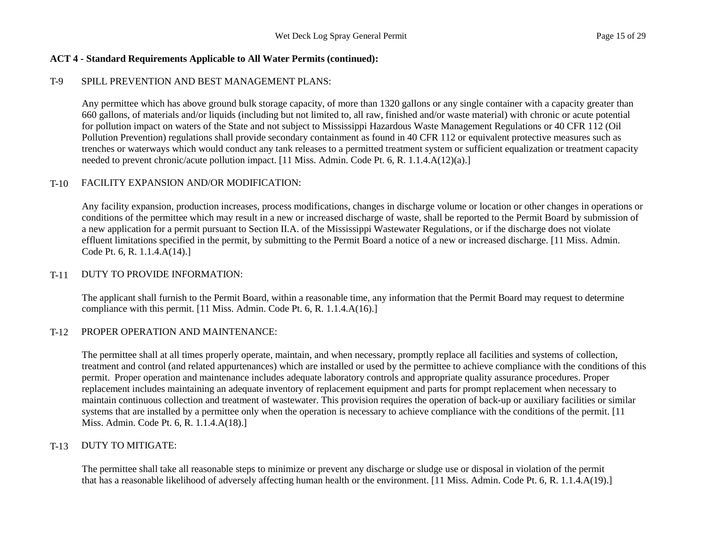# T-9 SPILL PREVENTION AND BEST MANAGEMENT PLANS:

Any permittee which has above ground bulk storage capacity, of more than 1320 gallons or any single container with a capacity greater than 660 gallons, of materials and/or liquids (including but not limited to, all raw, finished and/or waste material) with chronic or acute potential for pollution impact on waters of the State and not subject to Mississippi Hazardous Waste Management Regulations or 40 CFR 112 (Oil Pollution Prevention) regulations shall provide secondary containment as found in 40 CFR 112 or equivalent protective measures such as trenches or waterways which would conduct any tank releases to a permitted treatment system or sufficient equalization or treatment capacity needed to prevent chronic/acute pollution impact. [11 Miss. Admin. Code Pt. 6, R. 1.1.4.A(12)(a).]

#### T-10 FACILITY EXPANSION AND/OR MODIFICATION:

Any facility expansion, production increases, process modifications, changes in discharge volume or location or other changes in operations or conditions of the permittee which may result in a new or increased discharge of waste, shall be reported to the Permit Board by submission of a new application for a permit pursuant to Section II.A. of the Mississippi Wastewater Regulations, or if the discharge does not violate effluent limitations specified in the permit, by submitting to the Permit Board a notice of a new or increased discharge. [11 Miss. Admin. Code Pt. 6, R. 1.1.4.A(14).]

#### T-11 DUTY TO PROVIDE INFORMATION:

The applicant shall furnish to the Permit Board, within a reasonable time, any information that the Permit Board may request to determine compliance with this permit. [11 Miss. Admin. Code Pt. 6, R. 1.1.4.A(16).]

# T-12 PROPER OPERATION AND MAINTENANCE:

The permittee shall at all times properly operate, maintain, and when necessary, promptly replace all facilities and systems of collection, treatment and control (and related appurtenances) which are installed or used by the permittee to achieve compliance with the conditions of this permit. Proper operation and maintenance includes adequate laboratory controls and appropriate quality assurance procedures. Proper replacement includes maintaining an adequate inventory of replacement equipment and parts for prompt replacement when necessary to maintain continuous collection and treatment of wastewater. This provision requires the operation of back-up or auxiliary facilities or similar systems that are installed by a permittee only when the operation is necessary to achieve compliance with the conditions of the permit. [11 Miss. Admin. Code Pt. 6, R. 1.1.4.A(18).]

# T-13 DUTY TO MITIGATE:

The permittee shall take all reasonable steps to minimize or prevent any discharge or sludge use or disposal in violation of the permit that has a reasonable likelihood of adversely affecting human health or the environment. [11 Miss. Admin. Code Pt. 6, R. 1.1.4.A(19).]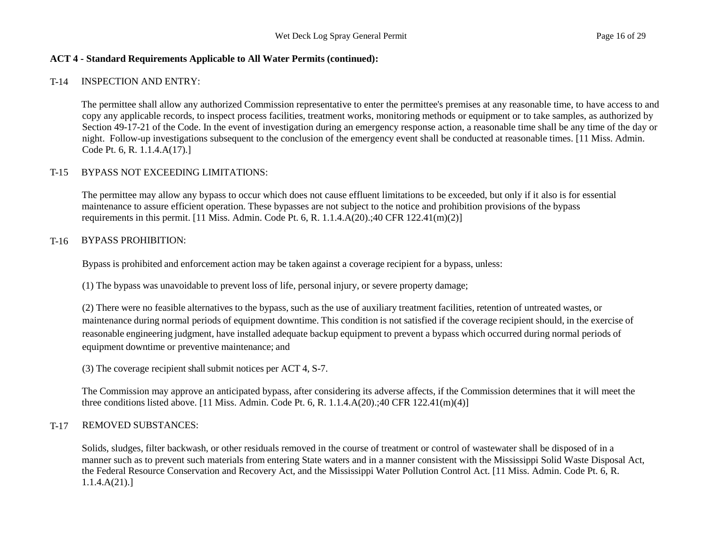# T-14 INSPECTION AND ENTRY:

The permittee shall allow any authorized Commission representative to enter the permittee's premises at any reasonable time, to have access to and copy any applicable records, to inspect process facilities, treatment works, monitoring methods or equipment or to take samples, as authorized by Section 49-17-21 of the Code. In the event of investigation during an emergency response action, a reasonable time shall be any time of the day or night. Follow-up investigations subsequent to the conclusion of the emergency event shall be conducted at reasonable times. [11 Miss. Admin. Code Pt. 6, R. 1.1.4.A(17).]

# T-15 BYPASS NOT EXCEEDING LIMITATIONS:

The permittee may allow any bypass to occur which does not cause effluent limitations to be exceeded, but only if it also is for essential maintenance to assure efficient operation. These bypasses are not subject to the notice and prohibition provisions of the bypass requirements in this permit.  $[11 \text{ Miss. } \text{Admin. } \text{Code Pt. } 6, \text{R. } 1.1.4 \text{A}(20):40 \text{ CFR } 122.41 \text{ (m)}(2)]$ 

# T-16 BYPASS PROHIBITION:

Bypass is prohibited and enforcement action may be taken against a coverage recipient for a bypass, unless:

(1) The bypass was unavoidable to prevent loss of life, personal injury, or severe property damage;

(2) There were no feasible alternatives to the bypass, such as the use of auxiliary treatment facilities, retention of untreated wastes, or maintenance during normal periods of equipment downtime. This condition is not satisfied if the coverage recipient should, in the exercise of reasonable engineering judgment, have installed adequate backup equipment to prevent a bypass which occurred during normal periods of equipment downtime or preventive maintenance; and

(3) The coverage recipient shall submit notices per ACT 4, S-7.

The Commission may approve an anticipated bypass, after considering its adverse affects, if the Commission determines that it will meet the three conditions listed above. [11 Miss. Admin. Code Pt. 6, R. 1.1.4.A(20).;40 CFR 122.41(m)(4)]

# T-17 REMOVED SUBSTANCES:

Solids, sludges, filter backwash, or other residuals removed in the course of treatment or control of wastewater shall be disposed of in a manner such as to prevent such materials from entering State waters and in a manner consistent with the Mississippi Solid Waste Disposal Act, the Federal Resource Conservation and Recovery Act, and the Mississippi Water Pollution Control Act. [11 Miss. Admin. Code Pt. 6, R. 1.1.4.A(21).]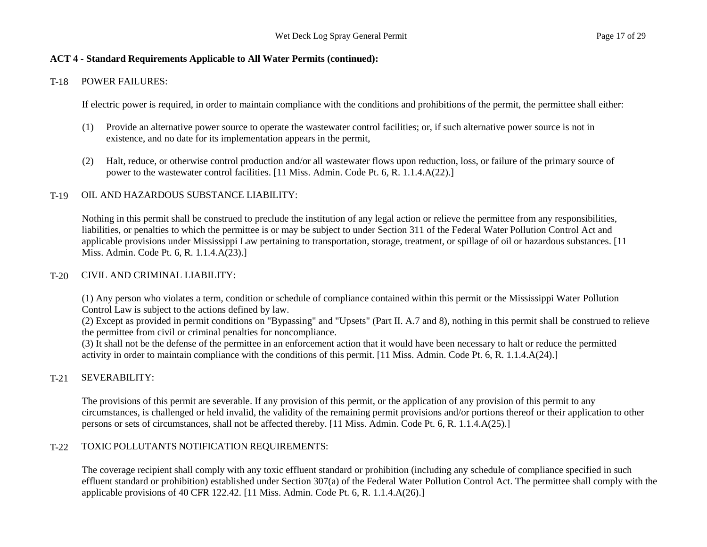## T-18 POWER FAILURES:

If electric power is required, in order to maintain compliance with the conditions and prohibitions of the permit, the permittee shall either:

- (1) Provide an alternative power source to operate the wastewater control facilities; or, if such alternative power source is not in existence, and no date for its implementation appears in the permit,
- (2) Halt, reduce, or otherwise control production and/or all wastewater flows upon reduction, loss, or failure of the primary source of power to the wastewater control facilities. [11 Miss. Admin. Code Pt. 6, R. 1.1.4.A(22).]

# T-19 OIL AND HAZARDOUS SUBSTANCE LIABILITY:

Nothing in this permit shall be construed to preclude the institution of any legal action or relieve the permittee from any responsibilities, liabilities, or penalties to which the permittee is or may be subject to under Section 311 of the Federal Water Pollution Control Act and applicable provisions under Mississippi Law pertaining to transportation, storage, treatment, or spillage of oil or hazardous substances. [11 Miss. Admin. Code Pt. 6, R. 1.1.4.A(23).]

#### T-20 CIVIL AND CRIMINAL LIABILITY:

(1) Any person who violates a term, condition or schedule of compliance contained within this permit or the Mississippi Water Pollution Control Law is subject to the actions defined by law.

(2) Except as provided in permit conditions on "Bypassing" and "Upsets" (Part II. A.7 and 8), nothing in this permit shall be construed to relieve the permittee from civil or criminal penalties for noncompliance.

(3) It shall not be the defense of the permittee in an enforcement action that it would have been necessary to halt or reduce the permitted activity in order to maintain compliance with the conditions of this permit. [11 Miss. Admin. Code Pt. 6, R. 1.1.4.A(24).]

# T-21 SEVERABILITY:

The provisions of this permit are severable. If any provision of this permit, or the application of any provision of this permit to any circumstances, is challenged or held invalid, the validity of the remaining permit provisions and/or portions thereof or their application to other persons or sets of circumstances, shall not be affected thereby. [11 Miss. Admin. Code Pt. 6, R. 1.1.4.A(25).]

# T-22 TOXIC POLLUTANTS NOTIFICATION REQUIREMENTS:

The coverage recipient shall comply with any toxic effluent standard or prohibition (including any schedule of compliance specified in such effluent standard or prohibition) established under Section 307(a) of the Federal Water Pollution Control Act. The permittee shall comply with the applicable provisions of 40 CFR 122.42. [11 Miss. Admin. Code Pt. 6, R. 1.1.4.A(26).]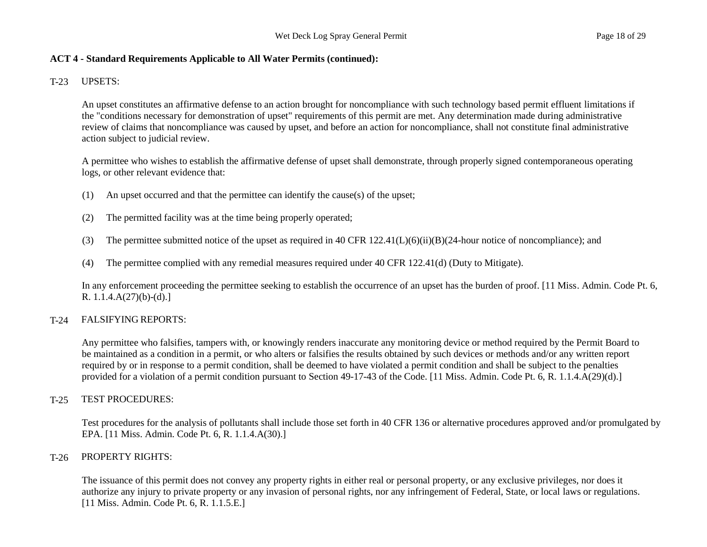# T-23 UPSETS:

An upset constitutes an affirmative defense to an action brought for noncompliance with such technology based permit effluent limitations if the "conditions necessary for demonstration of upset" requirements of this permit are met. Any determination made during administrative review of claims that noncompliance was caused by upset, and before an action for noncompliance, shall not constitute final administrative action subject to judicial review.

A permittee who wishes to establish the affirmative defense of upset shall demonstrate, through properly signed contemporaneous operating logs, or other relevant evidence that:

- (1) An upset occurred and that the permittee can identify the cause(s) of the upset;
- (2) The permitted facility was at the time being properly operated;
- (3) The permittee submitted notice of the upset as required in 40 CFR  $122.41(L)(6)(ii)(B)(24$ -hour notice of noncompliance); and
- (4) The permittee complied with any remedial measures required under 40 CFR 122.41(d) (Duty to Mitigate).

In any enforcement proceeding the permittee seeking to establish the occurrence of an upset has the burden of proof. [11 Miss. Admin. Code Pt. 6, R.  $1.1.4.A(27)(b)-(d).$ 

# T-24 FALSIFYING REPORTS:

Any permittee who falsifies, tampers with, or knowingly renders inaccurate any monitoring device or method required by the Permit Board to be maintained as a condition in a permit, or who alters or falsifies the results obtained by such devices or methods and/or any written report required by or in response to a permit condition, shall be deemed to have violated a permit condition and shall be subject to the penalties provided for a violation of a permit condition pursuant to Section 49-17-43 of the Code. [11 Miss. Admin. Code Pt. 6, R. 1.1.4.A(29)(d).]

# T-25 TEST PROCEDURES:

Test procedures for the analysis of pollutants shall include those set forth in 40 CFR 136 or alternative procedures approved and/or promulgated by EPA. [11 Miss. Admin. Code Pt. 6, R. 1.1.4.A(30).]

# T-26 PROPERTY RIGHTS:

The issuance of this permit does not convey any property rights in either real or personal property, or any exclusive privileges, nor does it authorize any injury to private property or any invasion of personal rights, nor any infringement of Federal, State, or local laws or regulations. [11 Miss. Admin. Code Pt. 6, R. 1.1.5.E.]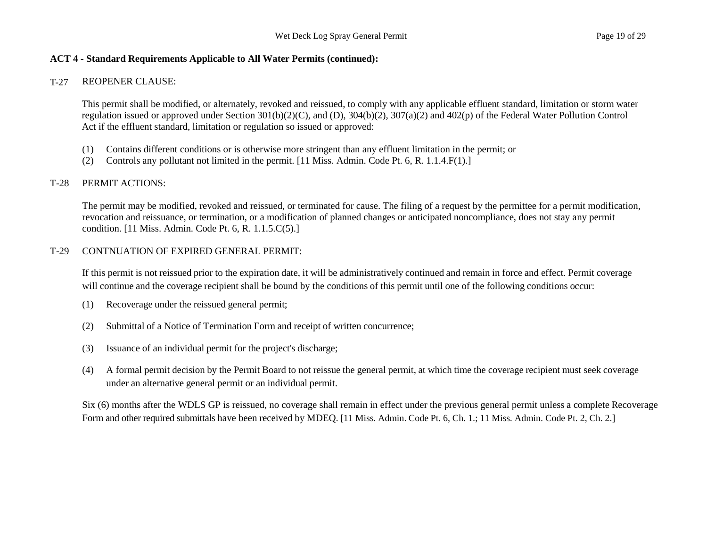#### T-27 REOPENER CLAUSE:

This permit shall be modified, or alternately, revoked and reissued, to comply with any applicable effluent standard, limitation or storm water regulation issued or approved under Section 301(b)(2)(C), and (D), 304(b)(2), 307(a)(2) and 402(p) of the Federal Water Pollution Control Act if the effluent standard, limitation or regulation so issued or approved:

- (1) Contains different conditions or is otherwise more stringent than any effluent limitation in the permit; or
- (2) Controls any pollutant not limited in the permit. [11 Miss. Admin. Code Pt. 6, R. 1.1.4.F(1).]

# T-28 PERMIT ACTIONS:

The permit may be modified, revoked and reissued, or terminated for cause. The filing of a request by the permittee for a permit modification, revocation and reissuance, or termination, or a modification of planned changes or anticipated noncompliance, does not stay any permit condition. [11 Miss. Admin. Code Pt. 6, R. 1.1.5.C(5).]

# T-29 CONTNUATION OF EXPIRED GENERAL PERMIT:

If this permit is not reissued prior to the expiration date, it will be administratively continued and remain in force and effect. Permit coverage will continue and the coverage recipient shall be bound by the conditions of this permit until one of the following conditions occur:

- (1) Recoverage under the reissued general permit;
- (2) Submittal of a Notice of Termination Form and receipt of written concurrence;
- (3) Issuance of an individual permit for the project's discharge;
- (4) A formal permit decision by the Permit Board to not reissue the general permit, at which time the coverage recipient must seek coverage under an alternative general permit or an individual permit.

Six (6) months after the WDLS GP is reissued, no coverage shall remain in effect under the previous general permit unless a complete Recoverage Form and other required submittals have been received by MDEQ. [11 Miss. Admin. Code Pt. 6, Ch. 1.; 11 Miss. Admin. Code Pt. 2, Ch. 2.]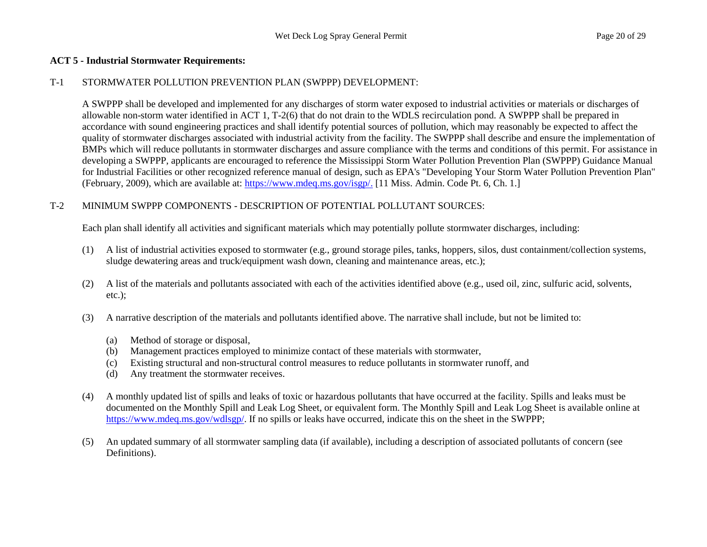#### **ACT 5 - Industrial Stormwater Requirements:**

#### T-1 STORMWATER POLLUTION PREVENTION PLAN (SWPPP) DEVELOPMENT:

A SWPPP shall be developed and implemented for any discharges of storm water exposed to industrial activities or materials or discharges of allowable non-storm water identified in ACT 1, T-2(6) that do not drain to the WDLS recirculation pond. A SWPPP shall be prepared in accordance with sound engineering practices and shall identify potential sources of pollution, which may reasonably be expected to affect the quality of stormwater discharges associated with industrial activity from the facility. The SWPPP shall describe and ensure the implementation of BMPs which will reduce pollutants in stormwater discharges and assure compliance with the terms and conditions of this permit. For assistance in developing a SWPPP, applicants are encouraged to reference the Mississippi Storm Water Pollution Prevention Plan (SWPPP) Guidance Manual for Industrial Facilities or other recognized reference manual of design, such as EPA's "Developing Your Storm Water Pollution Prevention Plan" (February, 2009), which are available at: [https://www.mdeq.ms.gov/isgp/.](https://www.mdeq.ms.gov/isgp/.%20%5b11) [11 Miss. Admin. Code Pt. 6, Ch. 1.]

# T-2 MINIMUM SWPPP COMPONENTS - DESCRIPTION OF POTENTIAL POLLUTANT SOURCES:

Each plan shall identify all activities and significant materials which may potentially pollute stormwater discharges, including:

- (1) A list of industrial activities exposed to stormwater (e.g., ground storage piles, tanks, hoppers, silos, dust containment/collection systems, sludge dewatering areas and truck/equipment wash down, cleaning and maintenance areas, etc.);
- (2) A list of the materials and pollutants associated with each of the activities identified above (e.g., used oil, zinc, sulfuric acid, solvents, etc.);
- (3) A narrative description of the materials and pollutants identified above. The narrative shall include, but not be limited to:
	- (a) Method of storage or disposal,
	- (b) Management practices employed to minimize contact of these materials with stormwater,
	- (c) Existing structural and non-structural control measures to reduce pollutants in stormwater runoff, and
	- (d) Any treatment the stormwater receives.
- (4) A monthly updated list of spills and leaks of toxic or hazardous pollutants that have occurred at the facility. Spills and leaks must be documented on the Monthly Spill and Leak Log Sheet, or equivalent form. The Monthly Spill and Leak Log Sheet is available online at https://www.mdeq.ms.gov/wdlsgp/. If no spills or leaks have occurred, indicate this on the sheet in the SWPPP;
- (5) An updated summary of all stormwater sampling data (if available), including a description of associated pollutants of concern (see Definitions).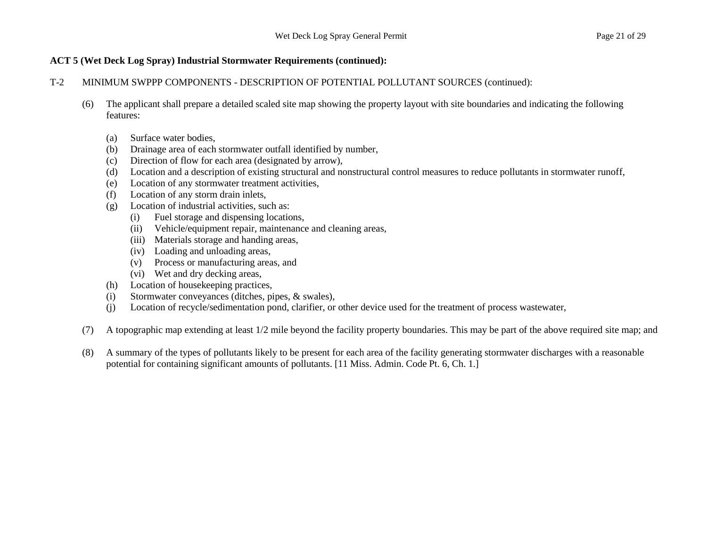## T-2 MINIMUM SWPPP COMPONENTS - DESCRIPTION OF POTENTIAL POLLUTANT SOURCES (continued):

- (6) The applicant shall prepare a detailed scaled site map showing the property layout with site boundaries and indicating the following features:
	- (a) Surface water bodies,
	- (b) Drainage area of each stormwater outfall identified by number,
	- (c) Direction of flow for each area (designated by arrow),
	- (d) Location and a description of existing structural and nonstructural control measures to reduce pollutants in stormwater runoff,
	- (e) Location of any stormwater treatment activities,
	- (f) Location of any storm drain inlets,
	- (g) Location of industrial activities, such as:
		- (i) Fuel storage and dispensing locations,
		- (ii) Vehicle/equipment repair, maintenance and cleaning areas,
		- (iii) Materials storage and handing areas,
		- (iv) Loading and unloading areas,
		- (v) Process or manufacturing areas, and
		- (vi) Wet and dry decking areas,
	- (h) Location of housekeeping practices,
	- (i) Stormwater conveyances (ditches, pipes, & swales),
	- (j) Location of recycle/sedimentation pond, clarifier, or other device used for the treatment of process wastewater,
- (7) A topographic map extending at least 1/2 mile beyond the facility property boundaries. This may be part of the above required site map; and
- (8) A summary of the types of pollutants likely to be present for each area of the facility generating stormwater discharges with a reasonable potential for containing significant amounts of pollutants. [11 Miss. Admin. Code Pt. 6, Ch. 1.]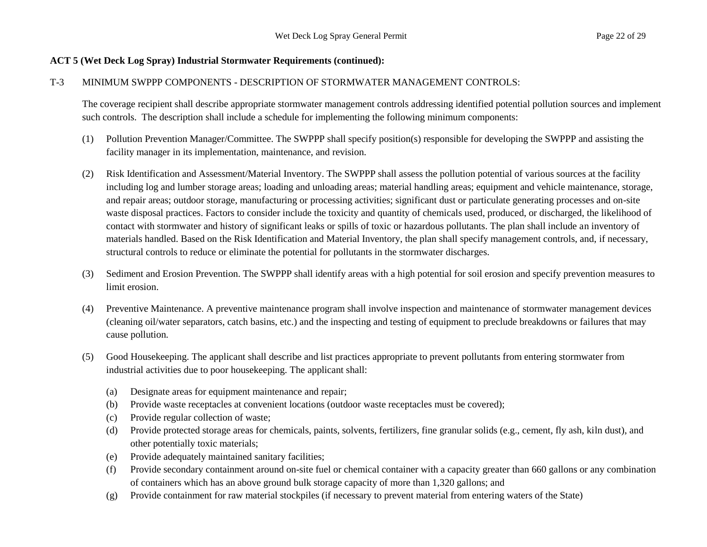#### T-3 MINIMUM SWPPP COMPONENTS - DESCRIPTION OF STORMWATER MANAGEMENT CONTROLS:

The coverage recipient shall describe appropriate stormwater management controls addressing identified potential pollution sources and implement such controls. The description shall include a schedule for implementing the following minimum components:

- (1) Pollution Prevention Manager/Committee. The SWPPP shall specify position(s) responsible for developing the SWPPP and assisting the facility manager in its implementation, maintenance, and revision.
- (2) Risk Identification and Assessment/Material Inventory. The SWPPP shall assess the pollution potential of various sources at the facility including log and lumber storage areas; loading and unloading areas; material handling areas; equipment and vehicle maintenance, storage, and repair areas; outdoor storage, manufacturing or processing activities; significant dust or particulate generating processes and on-site waste disposal practices. Factors to consider include the toxicity and quantity of chemicals used, produced, or discharged, the likelihood of contact with stormwater and history of significant leaks or spills of toxic or hazardous pollutants. The plan shall include an inventory of materials handled. Based on the Risk Identification and Material Inventory, the plan shall specify management controls, and, if necessary, structural controls to reduce or eliminate the potential for pollutants in the stormwater discharges.
- (3) Sediment and Erosion Prevention. The SWPPP shall identify areas with a high potential for soil erosion and specify prevention measures to limit erosion.
- (4) Preventive Maintenance. A preventive maintenance program shall involve inspection and maintenance of stormwater management devices (cleaning oil/water separators, catch basins, etc.) and the inspecting and testing of equipment to preclude breakdowns or failures that may cause pollution.
- (5) Good Housekeeping. The applicant shall describe and list practices appropriate to prevent pollutants from entering stormwater from industrial activities due to poor housekeeping. The applicant shall:
	- (a) Designate areas for equipment maintenance and repair;
	- (b) Provide waste receptacles at convenient locations (outdoor waste receptacles must be covered);
	- (c) Provide regular collection of waste;
	- (d) Provide protected storage areas for chemicals, paints, solvents, fertilizers, fine granular solids (e.g., cement, fly ash, kiln dust), and other potentially toxic materials;
	- (e) Provide adequately maintained sanitary facilities;
	- (f) Provide secondary containment around on-site fuel or chemical container with a capacity greater than 660 gallons or any combination of containers which has an above ground bulk storage capacity of more than 1,320 gallons; and
	- (g) Provide containment for raw material stockpiles (if necessary to prevent material from entering waters of the State)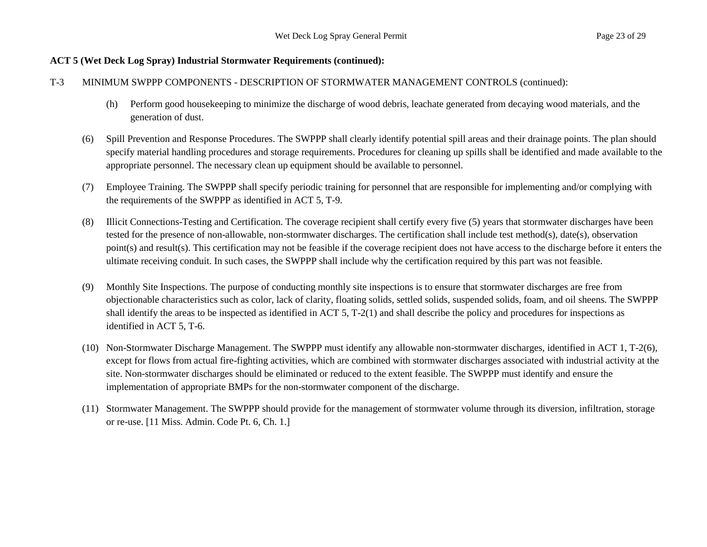#### T-3 MINIMUM SWPPP COMPONENTS - DESCRIPTION OF STORMWATER MANAGEMENT CONTROLS (continued):

- (h) Perform good housekeeping to minimize the discharge of wood debris, leachate generated from decaying wood materials, and the generation of dust.
- (6) Spill Prevention and Response Procedures. The SWPPP shall clearly identify potential spill areas and their drainage points. The plan should specify material handling procedures and storage requirements. Procedures for cleaning up spills shall be identified and made available to the appropriate personnel. The necessary clean up equipment should be available to personnel.
- (7) Employee Training. The SWPPP shall specify periodic training for personnel that are responsible for implementing and/or complying with the requirements of the SWPPP as identified in ACT 5, T-9.
- (8) Illicit Connections-Testing and Certification. The coverage recipient shall certify every five (5) years that stormwater discharges have been tested for the presence of non-allowable, non-stormwater discharges. The certification shall include test method(s), date(s), observation point(s) and result(s). This certification may not be feasible if the coverage recipient does not have access to the discharge before it enters the ultimate receiving conduit. In such cases, the SWPPP shall include why the certification required by this part was not feasible.
- (9) Monthly Site Inspections. The purpose of conducting monthly site inspections is to ensure that stormwater discharges are free from objectionable characteristics such as color, lack of clarity, floating solids, settled solids, suspended solids, foam, and oil sheens. The SWPPP shall identify the areas to be inspected as identified in ACT 5, T-2(1) and shall describe the policy and procedures for inspections as identified in ACT 5, T-6.
- (10) Non-Stormwater Discharge Management. The SWPPP must identify any allowable non-stormwater discharges, identified in ACT 1, T-2(6), except for flows from actual fire-fighting activities, which are combined with stormwater discharges associated with industrial activity at the site. Non-stormwater discharges should be eliminated or reduced to the extent feasible. The SWPPP must identify and ensure the implementation of appropriate BMPs for the non-stormwater component of the discharge.
- (11) Stormwater Management. The SWPPP should provide for the management of stormwater volume through its diversion, infiltration, storage or re-use. [11 Miss. Admin. Code Pt. 6, Ch. 1.]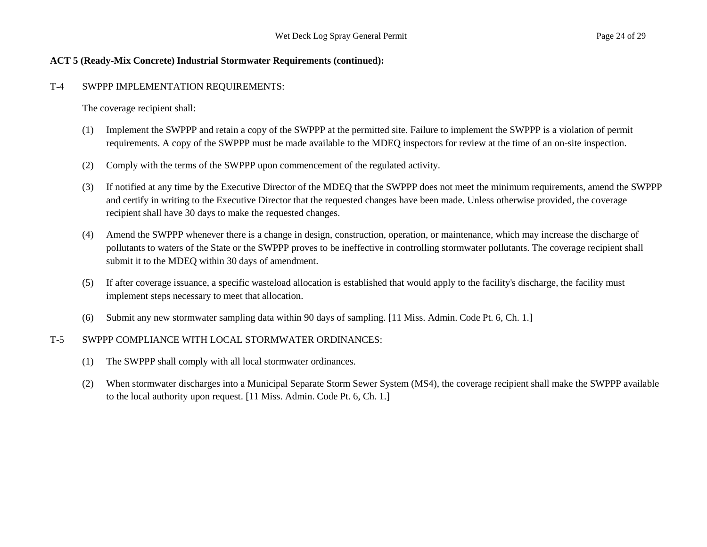#### **ACT 5 (Ready-Mix Concrete) Industrial Stormwater Requirements (continued):**

#### T-4 SWPPP IMPLEMENTATION REQUIREMENTS:

The coverage recipient shall:

- (1) Implement the SWPPP and retain a copy of the SWPPP at the permitted site. Failure to implement the SWPPP is a violation of permit requirements. A copy of the SWPPP must be made available to the MDEQ inspectors for review at the time of an on-site inspection.
- (2) Comply with the terms of the SWPPP upon commencement of the regulated activity.
- (3) If notified at any time by the Executive Director of the MDEQ that the SWPPP does not meet the minimum requirements, amend the SWPPP and certify in writing to the Executive Director that the requested changes have been made. Unless otherwise provided, the coverage recipient shall have 30 days to make the requested changes.
- (4) Amend the SWPPP whenever there is a change in design, construction, operation, or maintenance, which may increase the discharge of pollutants to waters of the State or the SWPPP proves to be ineffective in controlling stormwater pollutants. The coverage recipient shall submit it to the MDEQ within 30 days of amendment.
- (5) If after coverage issuance, a specific wasteload allocation is established that would apply to the facility's discharge, the facility must implement steps necessary to meet that allocation.
- (6) Submit any new stormwater sampling data within 90 days of sampling. [11 Miss. Admin. Code Pt. 6, Ch. 1.]

# T-5 SWPPP COMPLIANCE WITH LOCAL STORMWATER ORDINANCES:

- (1) The SWPPP shall comply with all local stormwater ordinances.
- (2) When stormwater discharges into a Municipal Separate Storm Sewer System (MS4), the coverage recipient shall make the SWPPP available to the local authority upon request. [11 Miss. Admin. Code Pt. 6, Ch. 1.]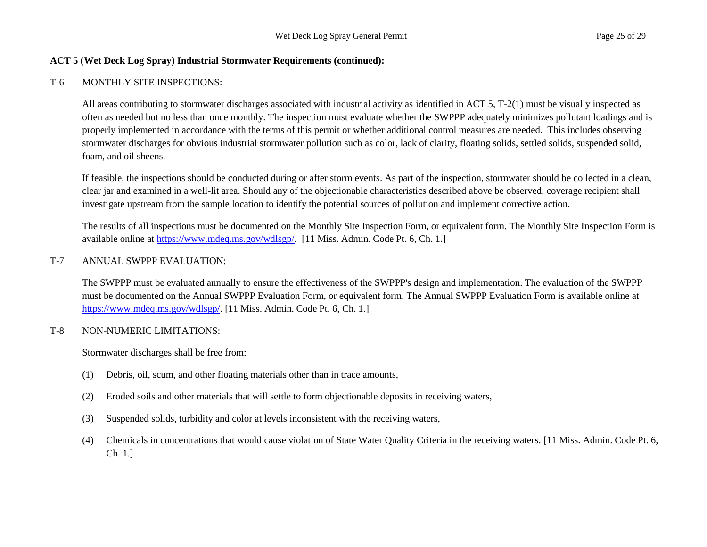#### T-6 MONTHLY SITE INSPECTIONS:

All areas contributing to stormwater discharges associated with industrial activity as identified in ACT 5, T-2(1) must be visually inspected as often as needed but no less than once monthly. The inspection must evaluate whether the SWPPP adequately minimizes pollutant loadings and is properly implemented in accordance with the terms of this permit or whether additional control measures are needed. This includes observing stormwater discharges for obvious industrial stormwater pollution such as color, lack of clarity, floating solids, settled solids, suspended solid, foam, and oil sheens.

If feasible, the inspections should be conducted during or after storm events. As part of the inspection, stormwater should be collected in a clean, clear jar and examined in a well-lit area. Should any of the objectionable characteristics described above be observed, coverage recipient shall investigate upstream from the sample location to identify the potential sources of pollution and implement corrective action.

The results of all inspections must be documented on the Monthly Site Inspection Form, or equivalent form. The Monthly Site Inspection Form is available online at https://www.mdeq.ms.gov/wdlsgp/. [11 Miss. Admin. Code Pt. 6, Ch. 1.]

#### T-7 ANNUAL SWPPP EVALUATION:

The SWPPP must be evaluated annually to ensure the effectiveness of the SWPPP's design and implementation. The evaluation of the SWPPP must be documented on the Annual SWPPP Evaluation Form, or equivalent form. The Annual SWPPP Evaluation Form is available online at https://www.mdeq.ms.gov/wdlsgp/. [11 Miss. Admin. Code Pt. 6, Ch. 1.]

#### T-8 NON-NUMERIC LIMITATIONS:

Stormwater discharges shall be free from:

- (1) Debris, oil, scum, and other floating materials other than in trace amounts,
- (2) Eroded soils and other materials that will settle to form objectionable deposits in receiving waters,
- (3) Suspended solids, turbidity and color at levels inconsistent with the receiving waters,
- (4) Chemicals in concentrations that would cause violation of State Water Quality Criteria in the receiving waters. [11 Miss. Admin. Code Pt. 6, Ch. 1.]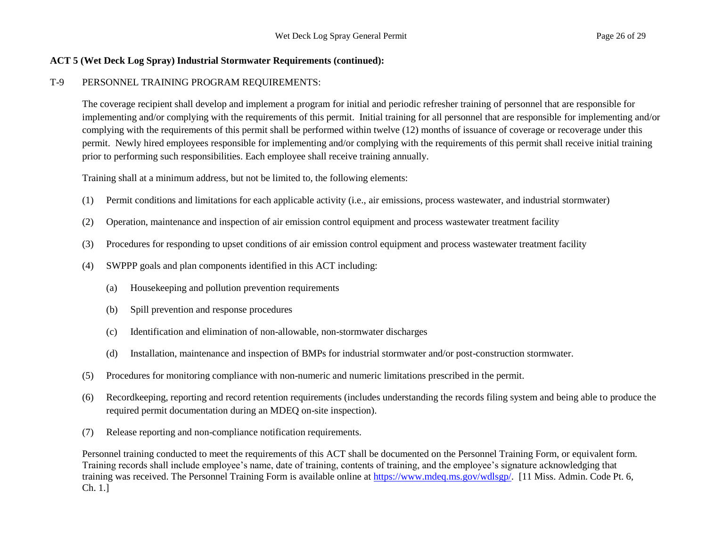# T-9 PERSONNEL TRAINING PROGRAM REQUIREMENTS:

The coverage recipient shall develop and implement a program for initial and periodic refresher training of personnel that are responsible for implementing and/or complying with the requirements of this permit. Initial training for all personnel that are responsible for implementing and/or complying with the requirements of this permit shall be performed within twelve (12) months of issuance of coverage or recoverage under this permit. Newly hired employees responsible for implementing and/or complying with the requirements of this permit shall receive initial training prior to performing such responsibilities. Each employee shall receive training annually.

Training shall at a minimum address, but not be limited to, the following elements:

- (1) Permit conditions and limitations for each applicable activity (i.e., air emissions, process wastewater, and industrial stormwater)
- (2) Operation, maintenance and inspection of air emission control equipment and process wastewater treatment facility
- (3) Procedures for responding to upset conditions of air emission control equipment and process wastewater treatment facility
- (4) SWPPP goals and plan components identified in this ACT including:
	- (a) Housekeeping and pollution prevention requirements
	- (b) Spill prevention and response procedures
	- (c) Identification and elimination of non-allowable, non-stormwater discharges
	- (d) Installation, maintenance and inspection of BMPs for industrial stormwater and/or post-construction stormwater.
- (5) Procedures for monitoring compliance with non-numeric and numeric limitations prescribed in the permit.
- (6) Recordkeeping, reporting and record retention requirements (includes understanding the records filing system and being able to produce the required permit documentation during an MDEQ on-site inspection).
- (7) Release reporting and non-compliance notification requirements.

Personnel training conducted to meet the requirements of this ACT shall be documented on the Personnel Training Form, or equivalent form. Training records shall include employee's name, date of training, contents of training, and the employee's signature acknowledging that training was received. The Personnel Training Form is available online at https://www.mdeq.ms.gov/wdlsgp/. [11 Miss. Admin. Code Pt. 6, Ch. 1.]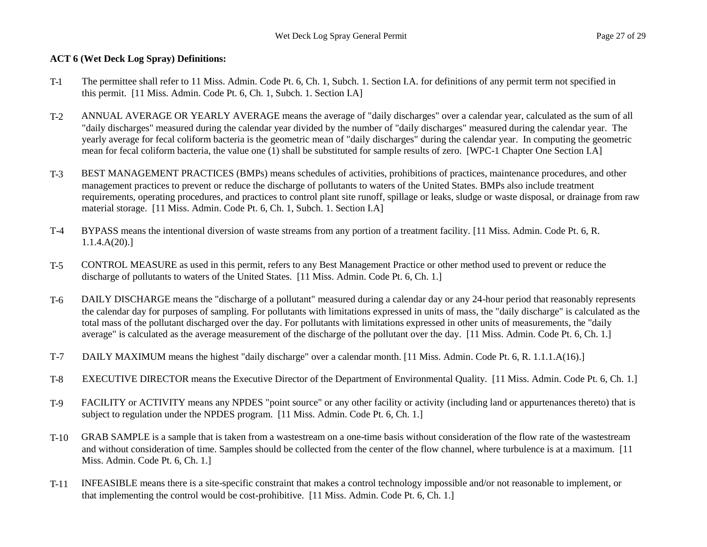# **ACT 6 (Wet Deck Log Spray) Definitions:**

- T-1 The permittee shall refer to 11 Miss. Admin. Code Pt. 6, Ch. 1, Subch. 1. Section I.A. for definitions of any permit term not specified in this permit. [11 Miss. Admin. Code Pt. 6, Ch. 1, Subch. 1. Section I.A]
- T-2 ANNUAL AVERAGE OR YEARLY AVERAGE means the average of "daily discharges" over a calendar year, calculated as the sum of all "daily discharges" measured during the calendar year divided by the number of "daily discharges" measured during the calendar year. The yearly average for fecal coliform bacteria is the geometric mean of "daily discharges" during the calendar year. In computing the geometric mean for fecal coliform bacteria, the value one (1) shall be substituted for sample results of zero. [WPC-1 Chapter One Section I.A]
- T-3 BEST MANAGEMENT PRACTICES (BMPs) means schedules of activities, prohibitions of practices, maintenance procedures, and other management practices to prevent or reduce the discharge of pollutants to waters of the United States. BMPs also include treatment requirements, operating procedures, and practices to control plant site runoff, spillage or leaks, sludge or waste disposal, or drainage from raw material storage. [11 Miss. Admin. Code Pt. 6, Ch. 1, Subch. 1. Section I.A]
- T-4 BYPASS means the intentional diversion of waste streams from any portion of a treatment facility. [11 Miss. Admin. Code Pt. 6, R. 1.1.4.A(20).]
- T-5 CONTROL MEASURE as used in this permit, refers to any Best Management Practice or other method used to prevent or reduce the discharge of pollutants to waters of the United States. [11 Miss. Admin. Code Pt. 6, Ch. 1.]
- T-6 DAILY DISCHARGE means the "discharge of a pollutant" measured during a calendar day or any 24-hour period that reasonably represents the calendar day for purposes of sampling. For pollutants with limitations expressed in units of mass, the "daily discharge" is calculated as the total mass of the pollutant discharged over the day. For pollutants with limitations expressed in other units of measurements, the "daily average" is calculated as the average measurement of the discharge of the pollutant over the day. [11 Miss. Admin. Code Pt. 6, Ch. 1.]
- T-7 DAILY MAXIMUM means the highest "daily discharge" over a calendar month. [11 Miss. Admin. Code Pt. 6, R. 1.1.1.A(16).]
- T-8 EXECUTIVE DIRECTOR means the Executive Director of the Department of Environmental Quality. [11 Miss. Admin. Code Pt. 6, Ch. 1.]
- T-9 FACILITY or ACTIVITY means any NPDES "point source" or any other facility or activity (including land or appurtenances thereto) that is subject to regulation under the NPDES program. [11 Miss. Admin. Code Pt. 6, Ch. 1.]
- T-10 GRAB SAMPLE is a sample that is taken from a wastestream on a one-time basis without consideration of the flow rate of the wastestream and without consideration of time. Samples should be collected from the center of the flow channel, where turbulence is at a maximum. [11 Miss. Admin. Code Pt. 6, Ch. 1.]
- T-11 INFEASIBLE means there is a site-specific constraint that makes a control technology impossible and/or not reasonable to implement, or that implementing the control would be cost-prohibitive. [11 Miss. Admin. Code Pt. 6, Ch. 1.]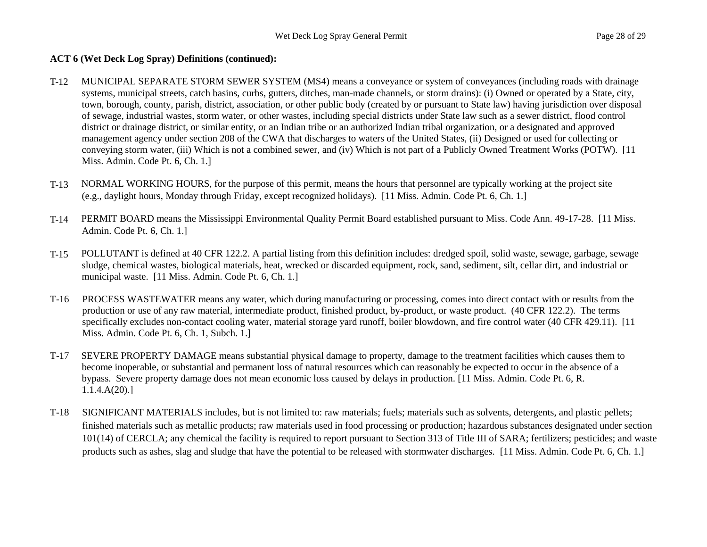# **ACT 6 (Wet Deck Log Spray) Definitions (continued):**

- T-12 MUNICIPAL SEPARATE STORM SEWER SYSTEM (MS4) means a conveyance or system of conveyances (including roads with drainage systems, municipal streets, catch basins, curbs, gutters, ditches, man-made channels, or storm drains): (i) Owned or operated by a State, city, town, borough, county, parish, district, association, or other public body (created by or pursuant to State law) having jurisdiction over disposal of sewage, industrial wastes, storm water, or other wastes, including special districts under State law such as a sewer district, flood control district or drainage district, or similar entity, or an Indian tribe or an authorized Indian tribal organization, or a designated and approved management agency under section 208 of the CWA that discharges to waters of the United States, (ii) Designed or used for collecting or conveying storm water, (iii) Which is not a combined sewer, and (iv) Which is not part of a Publicly Owned Treatment Works (POTW). [11 Miss. Admin. Code Pt. 6, Ch. 1.]
- T-13 NORMAL WORKING HOURS, for the purpose of this permit, means the hours that personnel are typically working at the project site (e.g., daylight hours, Monday through Friday, except recognized holidays). [11 Miss. Admin. Code Pt. 6, Ch. 1.]
- T-14 PERMIT BOARD means the Mississippi Environmental Quality Permit Board established pursuant to Miss. Code Ann. 49-17-28. [11 Miss. Admin. Code Pt. 6, Ch. 1.]
- T-15 POLLUTANT is defined at 40 CFR 122.2. A partial listing from this definition includes: dredged spoil, solid waste, sewage, garbage, sewage sludge, chemical wastes, biological materials, heat, wrecked or discarded equipment, rock, sand, sediment, silt, cellar dirt, and industrial or municipal waste. [11 Miss. Admin. Code Pt. 6, Ch. 1.]
- T-16 PROCESS WASTEWATER means any water, which during manufacturing or processing, comes into direct contact with or results from the production or use of any raw material, intermediate product, finished product, by-product, or waste product. (40 CFR 122.2). The terms specifically excludes non-contact cooling water, material storage yard runoff, boiler blowdown, and fire control water (40 CFR 429.11). [11 Miss. Admin. Code Pt. 6, Ch. 1, Subch. 1.]
- T-17 SEVERE PROPERTY DAMAGE means substantial physical damage to property, damage to the treatment facilities which causes them to become inoperable, or substantial and permanent loss of natural resources which can reasonably be expected to occur in the absence of a bypass. Severe property damage does not mean economic loss caused by delays in production. [11 Miss. Admin. Code Pt. 6, R. 1.1.4.A(20).]
- T-18 SIGNIFICANT MATERIALS includes, but is not limited to: raw materials; fuels; materials such as solvents, detergents, and plastic pellets; finished materials such as metallic products; raw materials used in food processing or production; hazardous substances designated under section 101(14) of CERCLA; any chemical the facility is required to report pursuant to Section 313 of Title III of SARA; fertilizers; pesticides; and waste products such as ashes, slag and sludge that have the potential to be released with stormwater discharges. [11 Miss. Admin. Code Pt. 6, Ch. 1.]